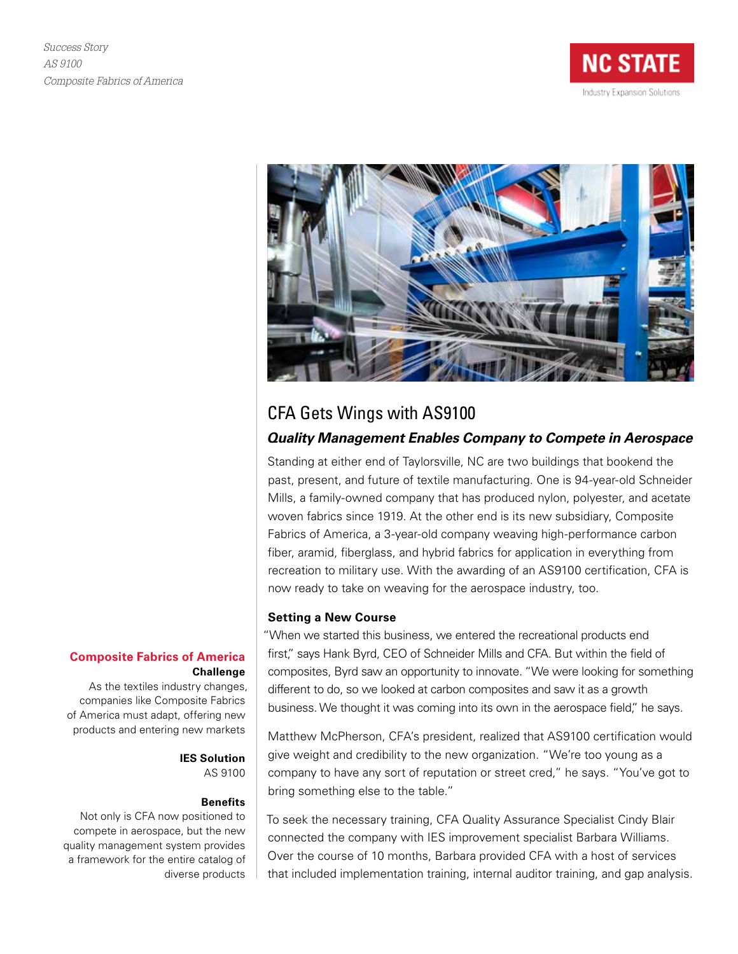



## CFA Gets Wings with AS9100

### *Quality Management Enables Company to Compete in Aerospace*

Standing at either end of Taylorsville, NC are two buildings that bookend the past, present, and future of textile manufacturing. One is 94-year-old Schneider Mills, a family-owned company that has produced nylon, polyester, and acetate woven fabrics since 1919. At the other end is its new subsidiary, Composite Fabrics of America, a 3-year-old company weaving high-performance carbon fiber, aramid, fiberglass, and hybrid fabrics for application in everything from recreation to military use. With the awarding of an AS9100 certification, CFA is now ready to take on weaving for the aerospace industry, too.

#### **Setting a New Course**

"When we started this business, we entered the recreational products end first," says Hank Byrd, CEO of Schneider Mills and CFA. But within the field of composites, Byrd saw an opportunity to innovate. "We were looking for something different to do, so we looked at carbon composites and saw it as a growth business. We thought it was coming into its own in the aerospace field," he says.

Matthew McPherson, CFA's president, realized that AS9100 certification would give weight and credibility to the new organization. "We're too young as a company to have any sort of reputation or street cred," he says. "You've got to bring something else to the table."

To seek the necessary training, CFA Quality Assurance Specialist Cindy Blair connected the company with IES improvement specialist Barbara Williams. Over the course of 10 months, Barbara provided CFA with a host of services that included implementation training, internal auditor training, and gap analysis.

#### **Composite Fabrics of America Challenge**

As the textiles industry changes, companies like Composite Fabrics of America must adapt, offering new products and entering new markets

> **IES Solution** AS 9100

#### **Benefits**

Not only is CFA now positioned to compete in aerospace, but the new quality management system provides a framework for the entire catalog of diverse products